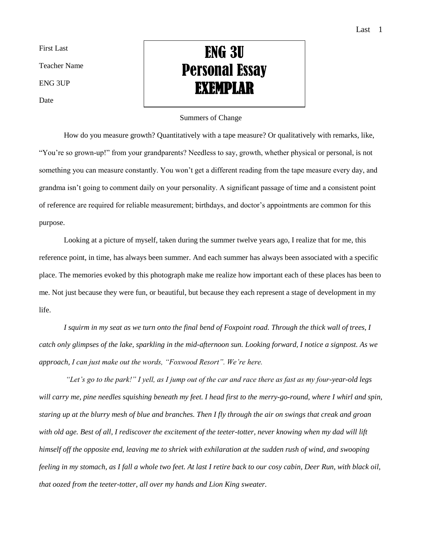First Last

Teacher Name

ENG 3UP

Date

## ENG 3U Personal Essay EXEMPLAR

## Summers of Change

How do you measure growth? Quantitatively with a tape measure? Or qualitatively with remarks, like, "You're so grown-up!" from your grandparents? Needless to say, growth, whether physical or personal, is not something you can measure constantly. You won't get a different reading from the tape measure every day, and grandma isn't going to comment daily on your personality. A significant passage of time and a consistent point of reference are required for reliable measurement; birthdays, and doctor's appointments are common for this purpose.

Looking at a picture of myself, taken during the summer twelve years ago, I realize that for me, this reference point, in time, has always been summer. And each summer has always been associated with a specific place. The memories evoked by this photograph make me realize how important each of these places has been to me. Not just because they were fun, or beautiful, but because they each represent a stage of development in my life.

*I squirm in my seat as we turn onto the final bend of Foxpoint road. Through the thick wall of trees, I catch only glimpses of the lake, sparkling in the mid-afternoon sun. Looking forward, I notice a signpost. As we approach, I can just make out the words, "Foxwood Resort". We're here.* 

*"Let's go to the park!" I yell, as I jump out of the car and race there as fast as my four-year-old legs*  will carry me, pine needles squishing beneath my feet. I head first to the merry-go-round, where I whirl and spin, *staring up at the blurry mesh of blue and branches. Then I fly through the air on swings that creak and groan*  with old age. Best of all, I rediscover the excitement of the teeter-totter, never knowing when my dad will lift *himself off the opposite end, leaving me to shriek with exhilaration at the sudden rush of wind, and swooping feeling in my stomach, as I fall a whole two feet. At last I retire back to our cosy cabin, Deer Run, with black oil, that oozed from the teeter-totter, all over my hands and Lion King sweater.*